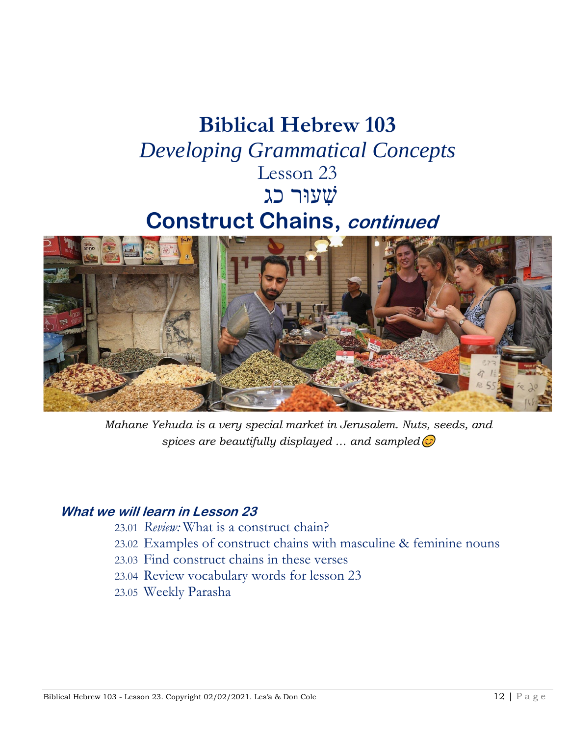## **Biblical Hebrew 103** *Developing Grammatical Concepts* Lesson 23 שׁ ִעוּר כגִ

### **Construct Chains, continued**



*Mahane Yehuda is a very special market in Jerusalem. Nuts, seeds, and spices are beautifully displayed … and sampled*

#### **What we will learn in Lesson 23**

- 23.01 *Review:* What is a construct chain?
- 23.02 Examples of construct chains with masculine & feminine nouns
- 23.03 Find construct chains in these verses
- 23.04 Review vocabulary words for lesson 23
- 23.05 Weekly Parasha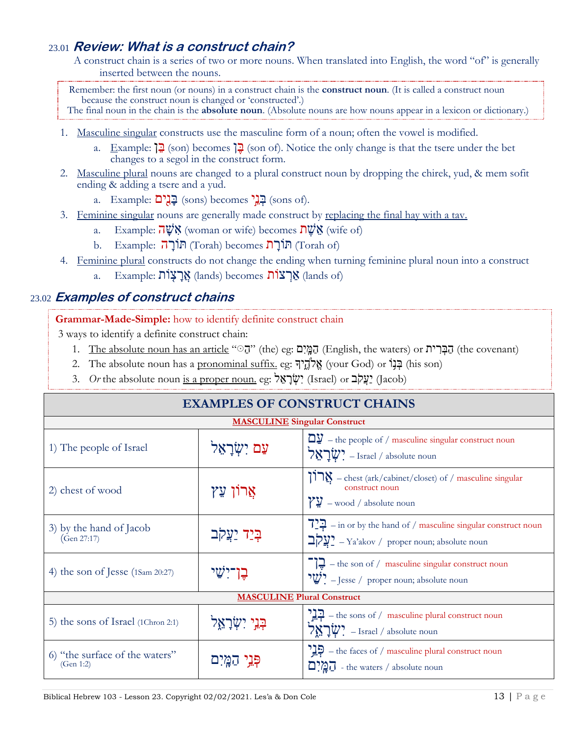#### 23.01 **Review: What is a construct chain?**

A construct chain is a series of two or more nouns. When translated into English, the word "of" is generally inserted between the nouns.

Remember: the first noun (or nouns) in a construct chain is the **construct noun**. (It is called a construct noun because the construct noun is changed or 'constructed'.) The final noun in the chain is the **absolute noun**. (Absolute nouns are how nouns appear in a lexicon or dictionary.)

- 1. Masculine singular constructs use the masculine form of a noun; often the vowel is modified.
	- a. Example: ִןִ בּ) son) becomes ִןִ בּ) son of). Notice the only change is that the tsere under the bet changes to a segol in the construct form.
- 2. Masculine plural nouns are changed to a plural construct noun by dropping the chirek, yud, & mem sofit ending & adding a tsere and a yud.
	- a. Example: בְגָ<sup>י</sup>ם (sons) becomes) בְּגֵים (sons of).
- 3. Feminine singular nouns are generally made construct by replacing the final hay with a tav.
	- a. Example:  $\overrightarrow{\mathbf{u}}$  WN (woman or wife) becomes  $\overrightarrow{\mathbf{u}}$  WN (wife of)
	- b. Example: תּוֹרָה (Torah) becomes תּוֹרָה (Torah of)
- 4. Feminine plural constructs do not change the ending when turning feminine plural noun into a construct
	- a. Example: אֲרַצְוֹת (lands) becomes) a lands of

#### 23.02 **Examples of construct chains**

**Grammar-Made-Simple:** how to identify definite construct chain

3 ways to identify a definite construct chain:

- 1. The absolute noun has an article " $\vec{v}$ " (the) eg: הַמְּיָם (English, the waters) or הַבְּרִית (the covenant)
- 2. The absolute noun has a pronominal suffix. eg: אֱלֹהֵיךָ (your God) or בְּנוֹ (his son)
- 3. *Or* the absolute noun is a proper noun. eg: יָצְקֹב (Israel) or יָצְקֹב (Jacob)

| <b>EXAMPLES OF CONSTRUCT CHAINS</b>         |                   |                                                                                                                                            |  |
|---------------------------------------------|-------------------|--------------------------------------------------------------------------------------------------------------------------------------------|--|
| <b>MASCULINE Singular Construct</b>         |                   |                                                                                                                                            |  |
| 1) The people of Israel                     | עם יִשְׂרַאֵל     | $\Box \underline{y}$ – the people of / masculine singular construct noun<br>$\forall x \exists \psi$ יַבאַל – Israel / absolute noun       |  |
| 2) chest of wood                            | אַרוֹן עֵץ        | ברן – chest (ark/cabinet/closet) of / masculine singular<br>construct noun<br>$\gamma y$ – wood / absolute noun                            |  |
| 3) by the hand of Jacob<br>(Gen 27:17)      | בְּיַד יַצֵקב     | $72\overline{2}$ – in or by the hand of / masculine singular construct noun<br>בַעֲקָב <sup>2</sup> – Ya'akov / proper noun; absolute noun |  |
| 4) the son of Jesse (1Sam 20:27)            | בן־יִשׂי          | $\boxed{1}$ – the son of / masculine singular construct noun<br>$\mathbf{W}'$ – Jesse / proper noun; absolute noun                         |  |
| <b>MASCULINE Plural Construct</b>           |                   |                                                                                                                                            |  |
| 5) the sons of Israel (1Chron 2:1)          | בִּנֵי יִשְׂרַאֵל | $\frac{1}{2}$ – the sons of / masculine plural construct noun<br>אָלָ $\psi$ – Israel / absolute noun                                      |  |
| 6) "the surface of the waters"<br>(Gen 1:2) | יָיָנֵי הַמֵּיִם  | $\mathbb{R}$ - the faces of / masculine plural construct noun<br>$\overline{D}$ $\overline{D}$ - the waters / absolute noun                |  |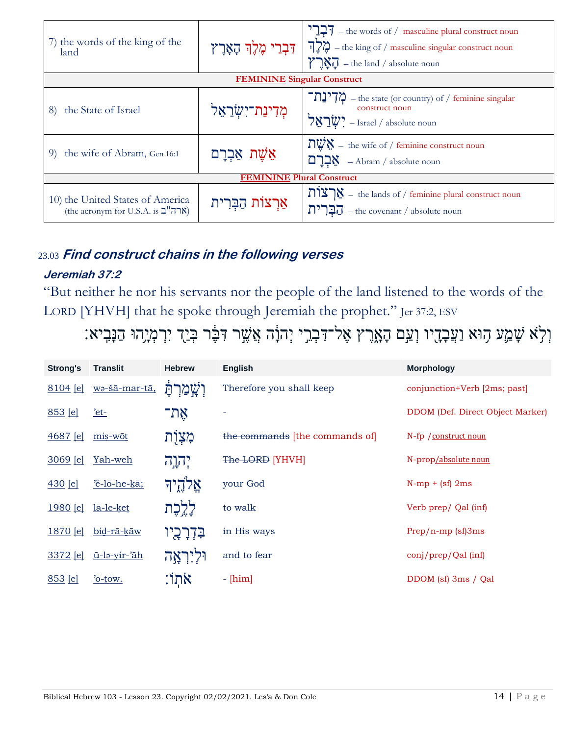| 7) the words of the king of the<br>land                               |                     | $\frac{1}{2}\frac{1}{7}$ – the words of / masculine plural construct noun<br>יקאָרָץ יִהְאָרֶץ – the king of / masculine singular construct noun<br>$\sum N_i$ – the land / absolute noun |  |  |
|-----------------------------------------------------------------------|---------------------|-------------------------------------------------------------------------------------------------------------------------------------------------------------------------------------------|--|--|
| <b>FEMININE</b> Singular Construct                                    |                     |                                                                                                                                                                                           |  |  |
| the State of Israel<br>8)                                             | מְדִינַת־יִשְׂרַאֵל | $\binom{1}{2}$ $\binom{1}{2}$ – the state (or country) of / feminine singular<br>construct noun<br>$\forall x \exists \psi$ – Israel / absolute noun                                      |  |  |
| the wife of Abram, Gen 16:1<br>9)                                     | אֵשֵׁת אַבְרַם      | $\frac{1}{2} \sqrt{\frac{1}{2}}$ = the wife of / feminine construct noun<br>$\sum_{i=1}^{n}$ - Abram / absolute noun                                                                      |  |  |
| <b>FEMININE Plural Construct</b>                                      |                     |                                                                                                                                                                                           |  |  |
| 10) the United States of America<br>(the acronym for U.S.A. is "הה"ב) | אַרצוֹת הַבְּרִית   | רצות – the lands of / feminine plural construct noun<br>$\prod$ <sup>7</sup> $\prod$ – the covenant / absolute noun                                                                       |  |  |

#### 23.03 Find construct chains in the following verses

#### Jeremiah 37:2

"But neither he nor his servants nor the people of the land listened to the words of the LORD [YHVH] that he spoke through Jeremiah the prophet." Jer 37:2, ESV

וְלָא שָׁמֵע הָוּא וַעֲבָדֻיו וְעַם הָאָרֶץ אֶל־דִּבְרֵי יְהוָֹה אֲשֶׁר דִּבָּר בְּיַךְ יִרְמְיָהוּ הַנָּבִיא:

| <b>Strong's</b> | <b>Translit</b> | <b>Hebrew</b>       | <b>English</b>                 | <b>Morphology</b>                |
|-----------------|-----------------|---------------------|--------------------------------|----------------------------------|
| 8104 [e]        | wa-šā-mar-tā,   | וְשֳמַרְתָּ         | Therefore you shall keep       | conjunction+Verb [2ms; past]     |
| 853 [e]         | $et-$           | אֵת־                |                                | DDOM (Def. Direct Object Marker) |
| <u>4687 [e]</u> | mis-wōt         | מִצְוָת             | the commands [the commands of] | N-fp / construct noun            |
| <u>3069 [e]</u> | Yah-weh         | יהוה                | The LORD [YHVH]                | N-prop/absolute noun             |
| 430 [e]         | 'ĕ-lō-he-kā;    | אֵלהֶיד             | your God                       | $N-mp + (sf) 2ms$                |
| 1980 [e]        | lā-le-ket       | לְלֶכָת             | to walk                        | Verb prep/ Qal (inf)             |
| <u>1870 [e]</u> | bid-rā-kāw      | בִּדְרָכָיו         | in His ways                    | $Prep/n-mp$ (sf)3ms              |
| 3372 [e]        | ū-lə-yir-'āh    | <u>וּלְיִרְאֲ</u> ה | and to fear                    | conj/prep/Qal (inf)              |
| 853 [e]         | $o-tow$ .       | אתו:                | $-[him]$                       | DDOM (sf) 3ms / Qal              |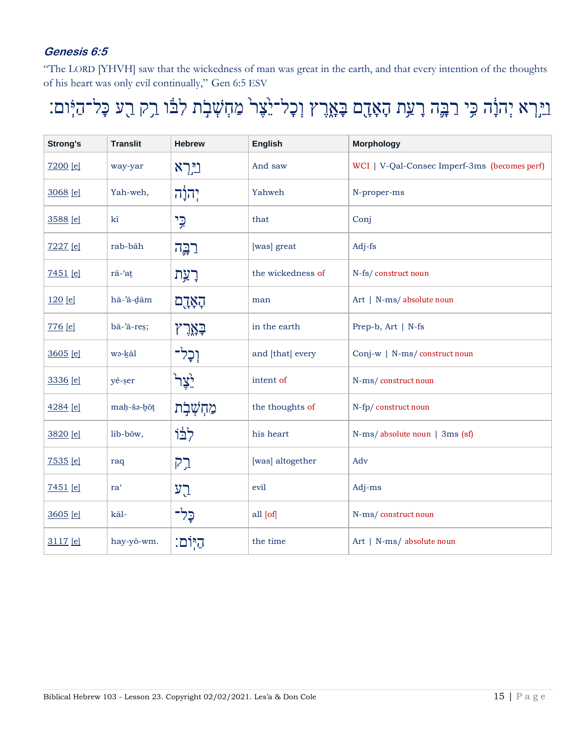#### **Genesis 6:5**

"The LORD [YHVH] saw that the wickedness of man was great in the earth, and that every intention of the thoughts of his heart was only evil continually," Gen 6:5 ESV

# וֵיֵּרְא יְהוָׂה כִּי רַבְּה רָעַת הָאָדֶם בָּאֶרֶץ וְכָל־יֵאֶר מַחְשְׁבָת לִבּוֹ רֵק רֻע כָּל־הַיְּום:

| <b>Strong's</b> | <b>Translit</b>      | <b>Hebrew</b>           | <b>English</b>    | <b>Morphology</b>                            |
|-----------------|----------------------|-------------------------|-------------------|----------------------------------------------|
| 7200 [e]        | way-yar              | <u>וירא</u>             | And saw           | WCI   V-Qal-Consec Imperf-3ms (becomes perf) |
| 3068 [e]        | Yah-weh,             | ְיְהֹוָ <sup>ׂ</sup> ָה | Yahweh            | N-proper-ms                                  |
| 3588 [e]        | kî                   | כֵי                     | that              | Conj                                         |
| 7227 [e]        | rab-bāh              | רַבֶּה                  | [was] great       | Adj-fs                                       |
| 7451 [e]        | rā-'at               | רַעַת                   | the wickedness of | N-fs/construct noun                          |
| 120 [e]         | hā-'ā-dām            | הָאָדֶם                 | man               | Art   N-ms/absolute noun                     |
| 776 [e]         | bā-'ā-reș;           | ݗݻݩݛ                    | in the earth      | Prep-b, Art   N-fs                           |
| 3605 [e]        | wo-kāl               | וְכָל־                  | and [that] every  | Conj-w   N-ms/construct noun                 |
| 3336 [e]        | yê-şer               | ڗؚۧڮٚڐڔ                 | intent of         | N-ms/construct noun                          |
| 4284 [e]        | maḥ-šə-bōt           | מַחְשְׁבָת              | the thoughts of   | N-fp/construct noun                          |
| 3820 [e]        | lib-bōw,             | לִבּוֹ                  | his heart         | N-ms/absolute noun   3ms (sf)                |
| 7535 [e]        | raq                  | ברק                     | [was] altogether  | Adv                                          |
| 7451 [e]        | $\mathrm{ra}^\prime$ | רַע                     | evil              | Adj-ms                                       |
| 3605 [e]        | kāl-                 | כַּל־                   | all [of]          | N-ms/construct noun                          |
| 3117 [e]        | hay-yō-wm.           | היִוֹם:                 | the time          | Art   N-ms/ absolute noun                    |